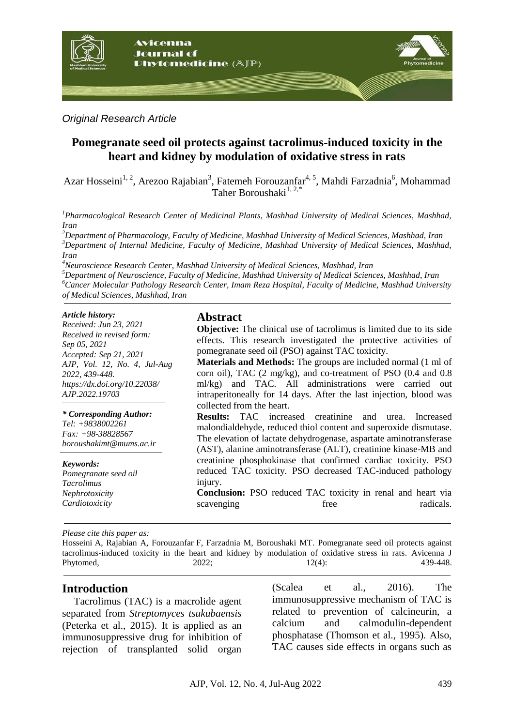

*Original Research Article*

# **Pomegranate seed oil protects against tacrolimus-induced toxicity in the heart and kidney by modulation of oxidative stress in rats**

Azar Hosseini<sup>1, 2</sup>, Arezoo Rajabian<sup>3</sup>, Fatemeh Forouzanfar<sup>4, 5</sup>, Mahdi Farzadnia<sup>6</sup>, Mohammad Taher Boroushaki $^{1, 2,*}$ 

*<sup>1</sup>Pharmacological Research Center of Medicinal Plants, Mashhad University of Medical Sciences, Mashhad, Iran*

*<sup>2</sup>Department of Pharmacology, Faculty of Medicine, Mashhad University of Medical Sciences, Mashhad, Iran <sup>3</sup>Department of Internal Medicine, Faculty of Medicine, Mashhad University of Medical Sciences, Mashhad, Iran*

*<sup>4</sup>Neuroscience Research Center, Mashhad University of Medical Sciences, Mashhad, Iran*

*<sup>5</sup>Department of Neuroscience, Faculty of Medicine, Mashhad University of Medical Sciences, Mashhad, Iran <sup>6</sup>Cancer Molecular Pathology Research Center, Imam Reza Hospital, Faculty of Medicine, Mashhad University of Medical Sciences, Mashhad, Iran*

#### *Article history:*

*Received: Jun 23, 2021 Received in revised form: Sep 05, 2021 Accepted: Sep 21, 2021 AJP, Vol. 12, No. 4, Jul-Aug 2022, 439-448. https://dx.doi.org/10.22038/ AJP.2022.19703*

#### *\* Corresponding Author:*

*Tel: +9838002261 Fax: +98-38828567 boroushakimt@mums.ac.ir*

#### *Keywords:*

*Pomegranate seed oil Tacrolimus Nephrotoxicity Cardiotoxicity*

## **Abstract**

**Objective:** The clinical use of tacrolimus is limited due to its side effects. This research investigated the protective activities of pomegranate seed oil (PSO) against TAC toxicity.

**Materials and Methods:** The groups are included normal (1 ml of corn oil), TAC (2 mg/kg), and co-treatment of PSO (0.4 and 0.8 ml/kg) and TAC. All administrations were carried out intraperitoneally for 14 days. After the last injection, blood was collected from the heart.

**Results:** TAC increased creatinine and urea. Increased malondialdehyde, reduced thiol content and superoxide dismutase. The elevation of lactate dehydrogenase, aspartate aminotransferase (AST), alanine aminotransferase (ALT), creatinine kinase-MB and creatinine phosphokinase that confirmed cardiac toxicity. PSO reduced TAC toxicity. PSO decreased TAC-induced pathology injury.

**Conclusion:** PSO reduced TAC toxicity in renal and heart via scavenging free radicals.

*Please cite this paper as:* 

Hosseini A, Rajabian A, Forouzanfar F, Farzadnia M, Boroushaki MT. Pomegranate seed oil protects against tacrolimus-induced toxicity in the heart and kidney by modulation of oxidative stress in rats. Avicenna J Phytomed, 2022; 12(4): 439-448.

### **Introduction**

Tacrolimus (TAC) is a macrolide agent separated from *Streptomyces tsukubaensis* (Peterka et al., 2015). It is applied as an immunosuppressive drug for inhibition of rejection of transplanted solid organ (Scalea et al., 2016). The immunosuppressive mechanism of TAC is related to prevention of calcineurin, a calcium and calmodulin-dependent phosphatase (Thomson et al., 1995). Also, TAC causes side effects in organs such as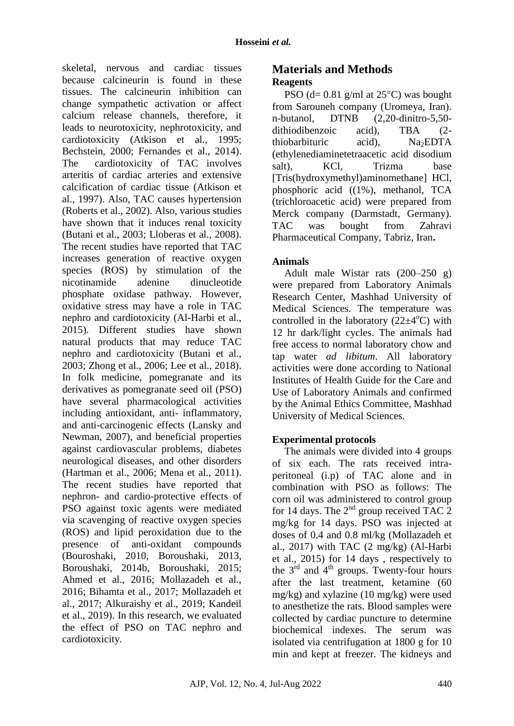skeletal, nervous and cardiac tissues because calcineurin is found in these tissues. The calcineurin inhibition can change sympathetic activation or affect calcium release channels, therefore, it leads to neurotoxicity, nephrotoxicity, and cardiotoxicity (Atkison et al., 1995; Bechstein, 2000; Fernandes et al., 2014). The cardiotoxicity of TAC involves arteritis of cardiac arteries and extensive calcification of cardiac tissue (Atkison et al., 1997). Also, TAC causes hypertension (Roberts et al., 2002). Also, various studies have shown that it induces renal toxicity (Butani et al., 2003; Lloberas et al., 2008). The recent studies have reported that TAC increases generation of reactive oxygen species (ROS) by stimulation of the nicotinamide adenine dinucleotide phosphate oxidase pathway. However, oxidative stress may have a role in TAC nephro and cardiotoxicity (Al-Harbi et al., 2015). Different studies have shown natural products that may reduce TAC nephro and cardiotoxicity (Butani et al., 2003; Zhong et al., 2006; Lee et al., 2018). In folk medicine, pomegranate and its derivatives as pomegranate seed oil (PSO) have several pharmacological activities including antioxidant, anti- inflammatory, and anti-carcinogenic effects (Lansky and Newman, 2007), and beneficial properties against cardiovascular problems, diabetes neurological diseases, and other disorders (Hartman et al., 2006; Mena et al., 2011). The recent studies have reported that nephron- and cardio-protective effects of PSO against toxic agents were mediated via scavenging of reactive oxygen species (ROS) and lipid peroxidation due to the presence of anti-oxidant compounds (Bouroshaki, 2010, Boroushaki, 2013, Boroushaki, 2014b, Boroushaki, 2015; Ahmed et al., 2016; Mollazadeh et al., 2016; Bihamta et al., 2017; Mollazadeh et al., 2017; Alkuraishy et al., 2019; Kandeil et al., 2019). In this research, we evaluated the effect of PSO on TAC nephro and cardiotoxicity.

# **Materials and Methods Reagents**

PSO (d=  $0.81$  g/ml at  $25^{\circ}$ C) was bought from Sarouneh company (Uromeya, Iran). n-butanol, DTNB (2,20-dinitro-5,50 dithiodibenzoic acid), TBA (2 thiobarbituric acid),  $Na<sub>2</sub>EDTA$ (ethylenediaminetetraacetic acid disodium salt), KCl, Trizma base [Tris(hydroxymethyl)aminomethane] HCl, phosphoric acid ((1%), methanol, TCA (trichloroacetic acid) were prepared from Merck company (Darmstadt, Germany). TAC was bought from Zahravi Pharmaceutical Company, Tabriz, Iran**.**

# **Animals**

Adult male Wistar rats (200–250 g) were prepared from Laboratory Animals Research Center, Mashhad University of Medical Sciences. The temperature was controlled in the laboratory  $(22\pm 4^{\circ}C)$  with 12 hr dark/light cycles. The animals had free access to normal laboratory chow and tap water *ad libitum*. All laboratory activities were done according to National Institutes of Health Guide for the Care and Use of Laboratory Animals and confirmed by the Animal Ethics Committee, Mashhad University of Medical Sciences.

# **Experimental protocols**

The animals were divided into 4 groups of six each. The rats received intraperitoneal (i.p) of TAC alone and in combination with PSO as follows: The corn oil was administered to control group for 14 days. The  $2<sup>nd</sup>$  group received TAC 2 mg/kg for 14 days. PSO was injected at doses of 0.4 and 0.8 ml/kg (Mollazadeh et al., 2017) with TAC  $(2 \text{ mg/kg})$  (Al-Harbi et al., 2015) for 14 days , respectively to the  $3<sup>rd</sup>$  and  $4<sup>th</sup>$  groups. Twenty-four hours after the last treatment, ketamine (60 mg/kg) and xylazine (10 mg/kg) were used to anesthetize the rats. Blood samples were collected by cardiac puncture to determine biochemical indexes. The serum was isolated via centrifugation at 1800 g for 10 min and kept at freezer. The kidneys and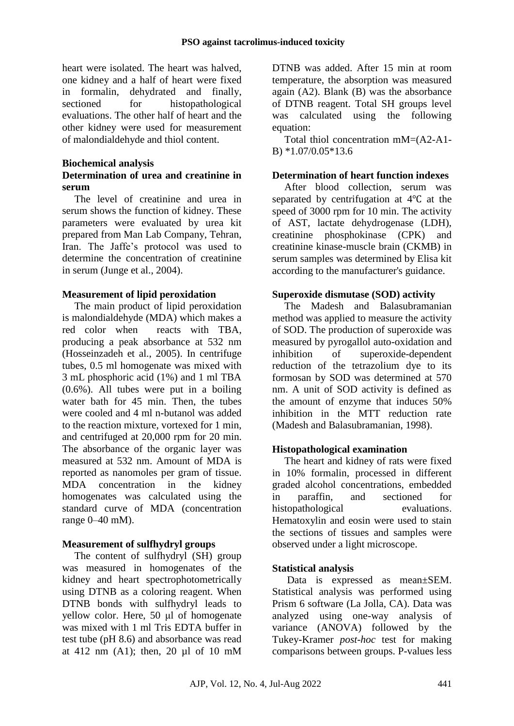heart were isolated. The heart was halved, one kidney and a half of heart were fixed in formalin, dehydrated and finally, sectioned for histopathological evaluations. The other half of heart and the other kidney were used for measurement of malondialdehyde and thiol content.

#### **Biochemical analysis Determination of urea and creatinine in serum**

The level of creatinine and urea in serum shows the function of kidney. These parameters were evaluated by urea kit prepared from Man Lab Company, Tehran, Iran. The Jaffe's protocol was used to determine the concentration of creatinine in serum (Junge et al., 2004).

## **Measurement of lipid peroxidation**

The main product of lipid peroxidation is malondialdehyde (MDA) which makes a red color when reacts with TBA, producing a peak absorbance at 532 nm (Hosseinzadeh et al., 2005). In centrifuge tubes, 0.5 ml homogenate was mixed with 3 mL phosphoric acid (1%) and 1 ml TBA (0.6%). All tubes were put in a boiling water bath for 45 min. Then, the tubes were cooled and 4 ml n-butanol was added to the reaction mixture, vortexed for 1 min, and centrifuged at 20,000 rpm for 20 min. The absorbance of the organic layer was measured at 532 nm. Amount of MDA is reported as nanomoles per gram of tissue. MDA concentration in the kidney homogenates was calculated using the standard curve of MDA (concentration range 0–40 mM).

# **Measurement of sulfhydryl groups**

The content of sulfhydryl (SH) group was measured in homogenates of the kidney and heart spectrophotometrically using DTNB as a coloring reagent. When DTNB bonds with sulfhydryl leads to yellow color. Here, 50 μl of homogenate was mixed with 1 ml Tris EDTA buffer in test tube (pH 8.6) and absorbance was read at 412 nm (A1); then, 20 µl of 10 mM DTNB was added. After 15 min at room temperature, the absorption was measured again (A2). Blank (B) was the absorbance of DTNB reagent. Total SH groups level was calculated using the following equation:

Total thiol concentration mM=(A2-A1- B) \*1.07/0.05\*13.6

## **Determination of heart function indexes**

After blood collection, serum was separated by centrifugation at 4℃ at the speed of 3000 rpm for 10 min. The activity of AST, lactate dehydrogenase (LDH), creatinine phosphokinase (CPK) and creatinine kinase-muscle brain (CKMB) in serum samples was determined by Elisa kit according to the manufacturer's guidance.

## **Superoxide dismutase (SOD) activity**

The Madesh and Balasubramanian method was applied to measure the activity of SOD. The production of superoxide was measured by pyrogallol auto-oxidation and inhibition of superoxide-dependent reduction of the tetrazolium dye to its formosan by SOD was determined at 570 nm. A unit of SOD activity is defined as the amount of enzyme that induces 50% inhibition in the MTT reduction rate (Madesh and Balasubramanian, 1998).

# **Histopathological examination**

The heart and kidney of rats were fixed in 10% formalin, processed in different graded alcohol concentrations, embedded in paraffin, and sectioned for histopathological evaluations. Hematoxylin and eosin were used to stain the sections of tissues and samples were observed under a light microscope.

# **Statistical analysis**

Data is expressed as mean±SEM. Statistical analysis was performed using Prism 6 software (La Jolla, CA). Data was analyzed using one-way analysis of variance (ANOVA) followed by the Tukey-Kramer *post-hoc* test for making comparisons between groups. P-values less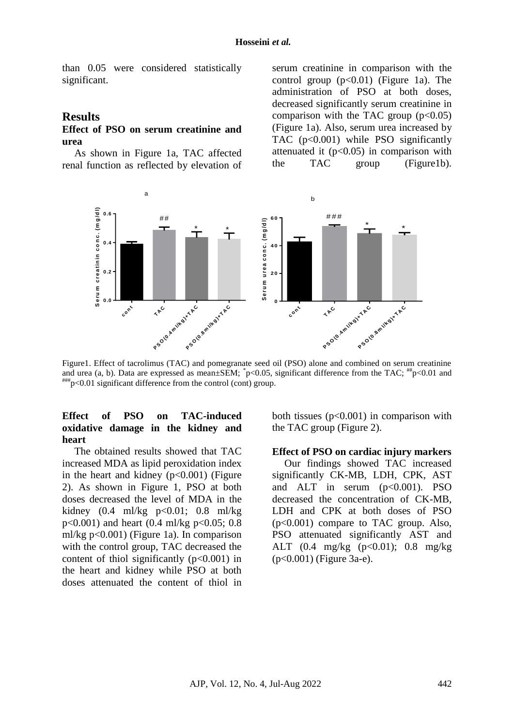than 0.05 were considered statistically significant.

#### **Results**

### **Effect of PSO on serum creatinine and urea**

As shown in Figure 1a, TAC affected renal function as reflected by elevation of

serum creatinine in comparison with the control group  $(p<0.01)$  (Figure 1a). The administration of PSO at both doses, decreased significantly serum creatinine in comparison with the TAC group  $(p<0.05)$ (Figure 1a). Also, serum urea increased by TAC (p<0.001) while PSO significantly attenuated it  $(p<0.05)$  in comparison with the TAC group (Figure1b).



Figure1. Effect of tacrolimus (TAC) and pomegranate seed oil (PSO) alone and combined on serum creatinine and urea (a, b). Data are expressed as mean±SEM;  $p<0.05$ , significant difference from the TAC;  $^{**}p<0.01$  and  $^{#}_{p}$  = 0.01 significant difference from the control (cont) group.

### **Effect of PSO on TAC-induced oxidative damage in the kidney and heart**

The obtained results showed that TAC increased MDA as lipid peroxidation index in the heart and kidney  $(p<0.001)$  (Figure 2). As shown in Figure 1, PSO at both doses decreased the level of MDA in the kidney  $(0.4 \text{ ml/kg} \text{ p} < 0.01; 0.8 \text{ ml/kg}$ p<0.001) and heart (0.4 ml/kg p<0.05; 0.8 ml/kg p<0.001) (Figure 1a). In comparison with the control group, TAC decreased the content of thiol significantly  $(p<0.001)$  in the heart and kidney while PSO at both doses attenuated the content of thiol in

both tissues  $(p<0.001)$  in comparison with the TAC group (Figure 2).

#### **Effect of PSO on cardiac injury markers**

Our findings showed TAC increased significantly CK-MB, LDH, CPK, AST and ALT in serum  $(p<0.001)$ . PSO decreased the concentration of CK-MB, LDH and CPK at both doses of PSO (p<0.001) compare to TAC group. Also, PSO attenuated significantly AST and ALT (0.4 mg/kg (p<0.01); 0.8 mg/kg (p<0.001) (Figure 3a-e).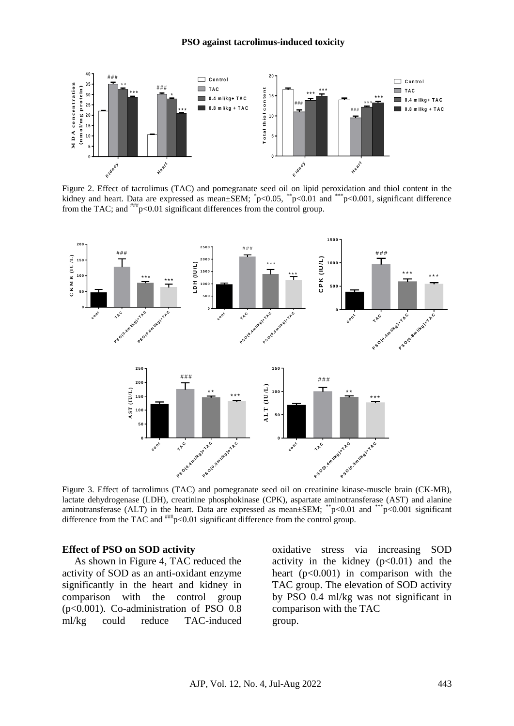

Figure 2. Effect of tacrolimus (TAC) and pomegranate seed oil on lipid peroxidation and thiol content in the kidney and heart. Data are expressed as mean $\pm$ SEM;  $\degree$ p<0.05,  $\degree$ <sup>\*</sup>p<0.01 and  $\degree$ <sup>\*\*\*</sup>p<0.001, significant difference from the TAC; and  $\frac{44}{4}$  p<0.01 significant differences from the control group.



Figure 3. Effect of tacrolimus (TAC) and pomegranate seed oil on creatinine kinase-muscle brain (CK-MB), lactate dehydrogenase (LDH), creatinine phosphokinase (CPK), aspartate aminotransferase (AST) and alanine aminotransferase (ALT) in the heart. Data are expressed as mean $\pm$ SEM; \*\*p<0.01 and \*\*\*p<0.001 significant difference from the TAC and  $^{***}\pmb{p}$ <0.01 significant difference from the control group.

#### **Effect of PSO on SOD activity**

As shown in Figure 4, TAC reduced the activity of SOD as an anti-oxidant enzyme significantly in the heart and kidney in comparison with the control group (p<0.001). Co-administration of PSO 0.8 ml/kg could reduce TAC-induced

oxidative stress via increasing SOD activity in the kidney  $(p<0.01)$  and the heart  $(p<0.001)$  in comparison with the TAC group. The elevation of SOD activity by PSO 0.4 ml/kg was not significant in comparison with the TAC group.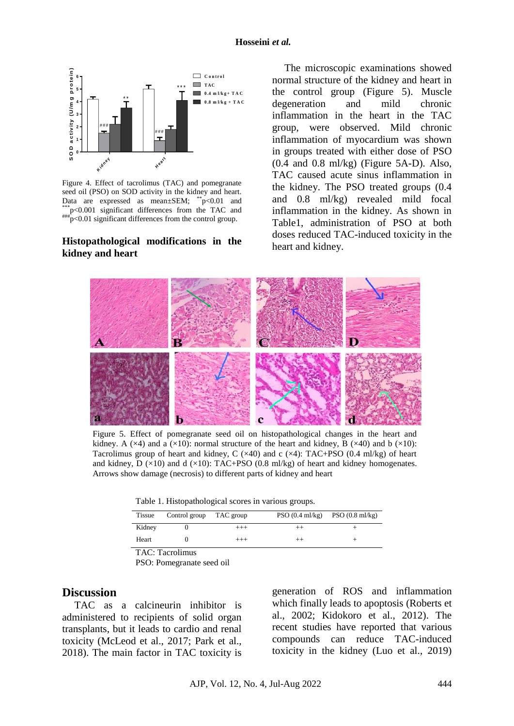

Figure 4. Effect of tacrolimus (TAC) and pomegranate seed oil (PSO) on SOD activity in the kidney and heart. Data are expressed as mean±SEM; \*\*p<0.01 and \*\*\*p<0.001 significant differences from the TAC and<br> $\frac{p}{1+p}$  $p^*$  $p$ <0.01 significant differences from the control group.

## **Histopathological modifications in the kidney and heart**

The microscopic examinations showed normal structure of the kidney and heart in the control group (Figure 5). Muscle degeneration and mild chronic inflammation in the heart in the TAC group, were observed. Mild chronic inflammation of myocardium was shown in groups treated with either dose of PSO (0.4 and 0.8 ml/kg) (Figure 5A-D). Also, TAC caused acute sinus inflammation in the kidney. The PSO treated groups (0.4 and 0.8 ml/kg) revealed mild focal inflammation in the kidney. As shown in Table1, administration of PSO at both doses reduced TAC-induced toxicity in the heart and kidney.



Figure 5. Effect of pomegranate seed oil on histopathological changes in the heart and kidney. A ( $\times$ 4) and a ( $\times$ 10): normal structure of the heart and kidney, B ( $\times$ 40) and b ( $\times$ 10): Tacrolimus group of heart and kidney, C  $(\times 40)$  and c  $(\times 4)$ : TAC+PSO (0.4 ml/kg) of heart and kidney, D  $(\times 10)$  and d  $(\times 10)$ : TAC+PSO (0.8 ml/kg) of heart and kidney homogenates. Arrows show damage (necrosis) to different parts of kidney and heart

Table 1. Histopathological scores in various groups.

| <b>Tissue</b> | Control group TAC group |          | $PSO(0.4 \text{ ml/kg})$ $PSO(0.8 \text{ ml/kg})$ |
|---------------|-------------------------|----------|---------------------------------------------------|
| Kidney        |                         | $^{+++}$ |                                                   |
| Heart         |                         | $^{+++}$ |                                                   |

TAC: Tacrolimus

PSO: Pomegranate seed oil

### **Discussion**

TAC as a calcineurin inhibitor is administered to recipients of solid organ transplants, but it leads to cardio and renal toxicity (McLeod et al., 2017; Park et al., 2018). The main factor in TAC toxicity is generation of ROS and inflammation which finally leads to apoptosis (Roberts et al., 2002; Kidokoro et al., 2012). The recent studies have reported that various compounds can reduce TAC-induced toxicity in the kidney (Luo et al., 2019)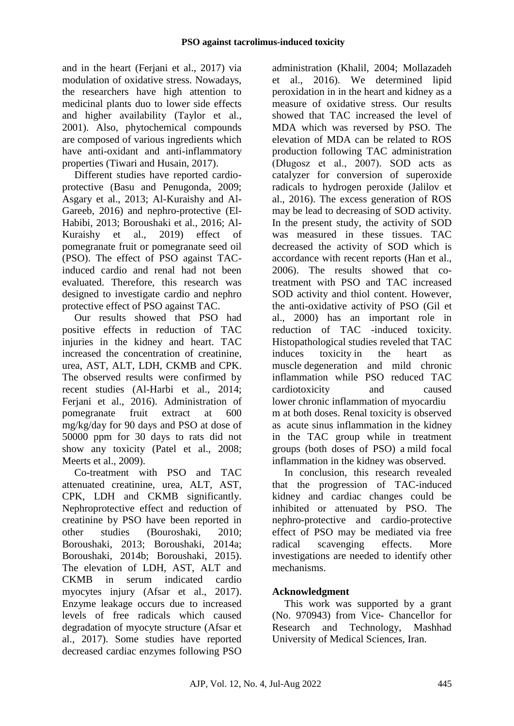and in the heart (Ferjani et al., 2017) via modulation of oxidative stress. Nowadays, the researchers have high attention to medicinal plants duo to lower side effects and higher availability (Taylor et al., 2001). Also, phytochemical compounds are composed of various ingredients which have anti-oxidant and anti-inflammatory properties (Tiwari and Husain, 2017).

Different studies have reported cardioprotective (Basu and Penugonda, 2009; Asgary et al., 2013; Al-Kuraishy and Al-Gareeb, 2016) and nephro-protective (El-Habibi, 2013; Boroushaki et al., 2016; Al-Kuraishy et al., 2019) effect of pomegranate fruit or pomegranate seed oil (PSO). The effect of PSO against TACinduced cardio and renal had not been evaluated. Therefore, this research was designed to investigate cardio and nephro protective effect of PSO against TAC.

Our results showed that PSO had positive effects in reduction of TAC injuries in the kidney and heart. TAC increased the concentration of creatinine, urea, AST, ALT, LDH, CKMB and CPK. The observed results were confirmed by recent studies (Al-Harbi et al., 2014; Ferjani et al., 2016). Administration of pomegranate fruit extract at 600 mg/kg/day for 90 days and PSO at dose of 50000 ppm for 30 days to rats did not show any toxicity (Patel et al., 2008; Meerts et al., 2009).

Co-treatment with PSO and TAC attenuated creatinine, urea, ALT, AST, CPK, LDH and CKMB significantly. Nephroprotective effect and reduction of creatinine by PSO have been reported in other studies (Bouroshaki, 2010; Boroushaki, 2013; Boroushaki, 2014a; Boroushaki, 2014b; Boroushaki, 2015). The elevation of LDH, AST, ALT and CKMB in serum indicated cardio myocytes injury (Afsar et al., 2017). Enzyme leakage occurs due to increased levels of free radicals which caused degradation of myocyte structure (Afsar et al., 2017). Some studies have reported decreased cardiac enzymes following PSO

administration (Khalil, 2004; Mollazadeh et al., 2016). We determined lipid peroxidation in in the heart and kidney as a measure of oxidative stress. Our results showed that TAC increased the level of MDA which was reversed by PSO. The elevation of MDA can be related to ROS production following TAC administration (Długosz et al., 2007). SOD acts as catalyzer for conversion of superoxide radicals to hydrogen peroxide (Jalilov et al., 2016). The excess generation of ROS may be lead to decreasing of SOD activity. In the present study, the activity of SOD was measured in these tissues. TAC decreased the activity of SOD which is accordance with recent reports (Han et al., 2006). The results showed that cotreatment with PSO and TAC increased SOD activity and thiol content. However, the anti-oxidative activity of PSO (Gil et al., 2000) has an important role in reduction of TAC -induced toxicity. Histopathological studies reveled that TAC induces toxicity in the heart as muscle degeneration and mild chronic inflammation while PSO reduced TAC cardiotoxicity and caused lower chronic inflammation of myocardiu m at both doses. Renal toxicity is observed as acute sinus inflammation in the kidney in the TAC group while in treatment groups (both doses of PSO) a mild focal inflammation in the kidney was observed.

In conclusion, this research revealed that the progression of TAC-induced kidney and cardiac changes could be inhibited or attenuated by PSO. The nephro-protective and cardio-protective effect of PSO may be mediated via free radical scavenging effects. More investigations are needed to identify other mechanisms.

# **Acknowledgment**

This work was supported by a grant (No. 970943) from Vice- Chancellor for Research and Technology, Mashhad University of Medical Sciences, Iran.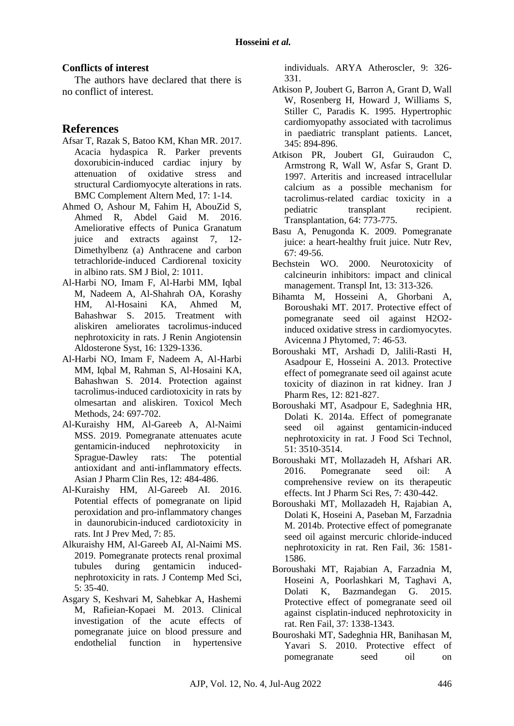### **Conflicts of interest**

The authors have declared that there is no conflict of interest.

# **References**

- Afsar T, Razak S, Batoo KM, Khan MR. 2017. Acacia hydaspica R. Parker prevents doxorubicin-induced cardiac injury by attenuation of oxidative stress and structural Cardiomyocyte alterations in rats. BMC Complement Altern Med, 17: 1-14.
- Ahmed O, Ashour M, Fahim H, AbouZid S, Ahmed R, Abdel Gaid M. 2016. Ameliorative effects of Punica Granatum juice and extracts against 7, 12- Dimethylbenz (a) Anthracene and carbon tetrachloride-induced Cardiorenal toxicity in albino rats. SM J Biol, 2: 1011.
- Al-Harbi NO, Imam F, Al-Harbi MM, Iqbal M, Nadeem A, Al-Shahrah OA, Korashy HM, Al-Hosaini KA, Ahmed M, Bahashwar S. 2015. Treatment with aliskiren ameliorates tacrolimus-induced nephrotoxicity in rats. J Renin Angiotensin Aldosterone Syst, 16: 1329-1336.
- Al-Harbi NO, Imam F, Nadeem A, Al-Harbi MM, Iqbal M, Rahman S, Al-Hosaini KA, Bahashwan S. 2014. Protection against tacrolimus-induced cardiotoxicity in rats by olmesartan and aliskiren. Toxicol Mech Methods, 24: 697-702.
- Al-Kuraishy HM, Al-Gareeb A, Al-Naimi MSS. 2019. Pomegranate attenuates acute gentamicin-induced nephrotoxicity in Sprague-Dawley rats: The potential antioxidant and anti-inflammatory effects. Asian J Pharm Clin Res, 12: 484-486.
- Al-Kuraishy HM, Al-Gareeb AI. 2016. Potential effects of pomegranate on lipid peroxidation and pro-inflammatory changes in daunorubicin-induced cardiotoxicity in rats. Int J Prev Med, 7: 85.
- Alkuraishy HM, Al-Gareeb AI, Al-Naimi MS. 2019. Pomegranate protects renal proximal tubules during gentamicin inducednephrotoxicity in rats. J Contemp Med Sci, 5: 35-40.
- Asgary S, Keshvari M, Sahebkar A, Hashemi M, Rafieian-Kopaei M. 2013. Clinical investigation of the acute effects of pomegranate juice on blood pressure and endothelial function in hypertensive

individuals. ARYA Atheroscler, 9: 326- 331.

- Atkison P, Joubert G, Barron A, Grant D, Wall W, Rosenberg H, Howard J, Williams S, Stiller C, Paradis K. 1995. Hypertrophic cardiomyopathy associated with tacrolimus in paediatric transplant patients. Lancet, 345: 894-896.
- Atkison PR, Joubert GI, Guiraudon C, Armstrong R, Wall W, Asfar S, Grant D. 1997. Arteritis and increased intracellular calcium as a possible mechanism for tacrolimus-related cardiac toxicity in a pediatric transplant recipient. Transplantation, 64: 773-775.
- Basu A, Penugonda K. 2009. Pomegranate juice: a heart-healthy fruit juice. Nutr Rev, 67: 49-56.
- Bechstein WO. 2000. Neurotoxicity of calcineurin inhibitors: impact and clinical management. Transpl Int, 13: 313-326.
- Bihamta M, Hosseini A, Ghorbani A, Boroushaki MT. 2017. Protective effect of pomegranate seed oil against H2O2 induced oxidative stress in cardiomyocytes. Avicenna J Phytomed, 7: 46-53.
- Boroushaki MT, Arshadi D, Jalili-Rasti H, Asadpour E, Hosseini A. 2013. Protective effect of pomegranate seed oil against acute toxicity of diazinon in rat kidney. Iran J Pharm Res, 12: 821-827.
- Boroushaki MT, Asadpour E, Sadeghnia HR, Dolati K. 2014a. Effect of pomegranate seed oil against gentamicin-induced nephrotoxicity in rat. J Food Sci Technol, 51: 3510-3514.
- Boroushaki MT, Mollazadeh H, Afshari AR. 2016. Pomegranate seed oil: A comprehensive review on its therapeutic effects. Int J Pharm Sci Res, 7: 430-442.
- Boroushaki MT, Mollazadeh H, Rajabian A, Dolati K, Hoseini A, Paseban M, Farzadnia M. 2014b. Protective effect of pomegranate seed oil against mercuric chloride-induced nephrotoxicity in rat. Ren Fail, 36: 1581- 1586.
- Boroushaki MT, Rajabian A, Farzadnia M, Hoseini A, Poorlashkari M, Taghavi A, Dolati K, Bazmandegan G. 2015. Protective effect of pomegranate seed oil against cisplatin-induced nephrotoxicity in rat. Ren Fail, 37: 1338-1343.
- Bouroshaki MT, Sadeghnia HR, Banihasan M, Yavari S. 2010. Protective effect of pomegranate seed oil on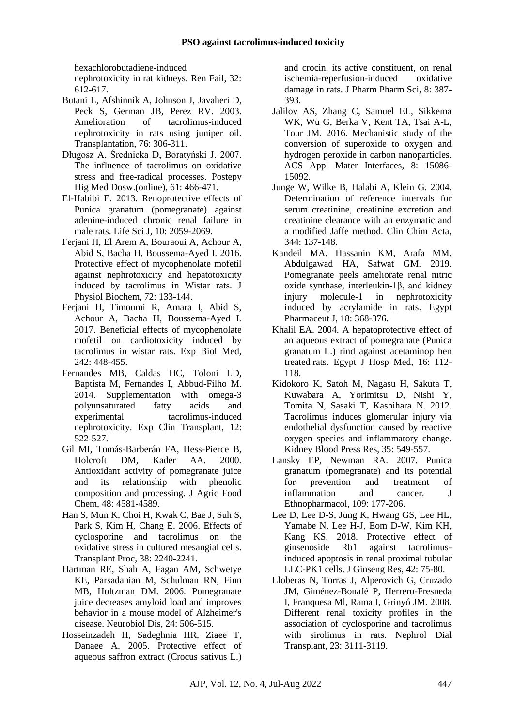hexachlorobutadiene-induced nephrotoxicity in rat kidneys. Ren Fail, 32:

- 612-617. Butani L, Afshinnik A, Johnson J, Javaheri D,
- Peck S, German JB, Perez RV. 2003. Amelioration of tacrolimus-induced nephrotoxicity in rats using juniper oil. Transplantation, 76: 306-311.
- Długosz A, Średnicka D, Boratyński J. 2007. The influence of tacrolimus on oxidative stress and free-radical processes. Postepy Hig Med Dosw.(online), 61: 466-471.
- El-Habibi E. 2013. Renoprotective effects of Punica granatum (pomegranate) against adenine-induced chronic renal failure in male rats. Life Sci J, 10: 2059-2069.
- Ferjani H, El Arem A, Bouraoui A, Achour A, Abid S, Bacha H, Boussema-Ayed I. 2016. Protective effect of mycophenolate mofetil against nephrotoxicity and hepatotoxicity induced by tacrolimus in Wistar rats. J Physiol Biochem, 72: 133-144.
- Feriani H, Timoumi R, Amara I, Abid S, Achour A, Bacha H, Boussema-Ayed I. 2017. Beneficial effects of mycophenolate mofetil on cardiotoxicity induced by tacrolimus in wistar rats. Exp Biol Med, 242: 448-455.
- Fernandes MB, Caldas HC, Toloni LD, Baptista M, Fernandes I, Abbud-Filho M. 2014. Supplementation with omega-3 polyunsaturated fatty acids and experimental tacrolimus-induced nephrotoxicity. Exp Clin Transplant, 12: 522-527.
- Gil MI, Tomás-Barberán FA, Hess-Pierce B, Holcroft DM, Kader AA. 2000. Antioxidant activity of pomegranate juice and its relationship with phenolic composition and processing. J Agric Food Chem, 48: 4581-4589.
- Han S, Mun K, Choi H, Kwak C, Bae J, Suh S, Park S, Kim H, Chang E. 2006. Effects of cyclosporine and tacrolimus on the oxidative stress in cultured mesangial cells. Transplant Proc, 38: 2240-2241.
- Hartman RE, Shah A, Fagan AM, Schwetye KE, Parsadanian M, Schulman RN, Finn MB, Holtzman DM. 2006. Pomegranate juice decreases amyloid load and improves behavior in a mouse model of Alzheimer's disease. Neurobiol Dis, 24: 506-515.
- Hosseinzadeh H, Sadeghnia HR, Ziaee T, Danaee A. 2005. Protective effect of aqueous saffron extract (Crocus sativus L.)

and crocin, its active constituent, on renal ischemia-reperfusion-induced oxidative damage in rats. J Pharm Pharm Sci, 8: 387- 393.

- Jalilov AS, Zhang C, Samuel EL, Sikkema WK, Wu G, Berka V, Kent TA, Tsai A-L, Tour JM. 2016. Mechanistic study of the conversion of superoxide to oxygen and hydrogen peroxide in carbon nanoparticles. ACS Appl Mater Interfaces, 8: 15086- 15092.
- Junge W, Wilke B, Halabi A, Klein G. 2004. Determination of reference intervals for serum creatinine, creatinine excretion and creatinine clearance with an enzymatic and a modified Jaffe method. Clin Chim Acta, 344: 137-148.
- Kandeil MA, Hassanin KM, Arafa MM, Abdulgawad HA, Safwat GM. 2019. Pomegranate peels ameliorate renal nitric oxide synthase, interleukin-1β, and kidney injury molecule-1 in nephrotoxicity induced by acrylamide in rats. Egypt Pharmaceut J, 18: 368-376.
- Khalil EA. 2004. A hepatoprotective effect of an aqueous extract of pomegranate (Punica granatum L.) rind against acetaminop hen treated rats. Egypt J Hosp Med, 16: 112- 118.
- Kidokoro K, Satoh M, Nagasu H, Sakuta T, Kuwabara A, Yorimitsu D, Nishi Y, Tomita N, Sasaki T, Kashihara N. 2012. Tacrolimus induces glomerular injury via endothelial dysfunction caused by reactive oxygen species and inflammatory change. Kidney Blood Press Res, 35: 549-557.
- Lansky EP, Newman RA. 2007. Punica granatum (pomegranate) and its potential for prevention and treatment of inflammation and cancer. J Ethnopharmacol, 109: 177-206.
- Lee D, Lee D-S, Jung K, Hwang GS, Lee HL, Yamabe N, Lee H-J, Eom D-W, Kim KH, Kang KS. 2018. Protective effect of ginsenoside Rb1 against tacrolimusinduced apoptosis in renal proximal tubular LLC-PK1 cells. J Ginseng Res, 42: 75-80.
- Lloberas N, Torras J, Alperovich G, Cruzado JM, Giménez-Bonafé P, Herrero-Fresneda I, Franquesa Ml, Rama I, Grinyó JM. 2008. Different renal toxicity profiles in the association of cyclosporine and tacrolimus with sirolimus in rats. Nephrol Dial Transplant, 23: 3111-3119.